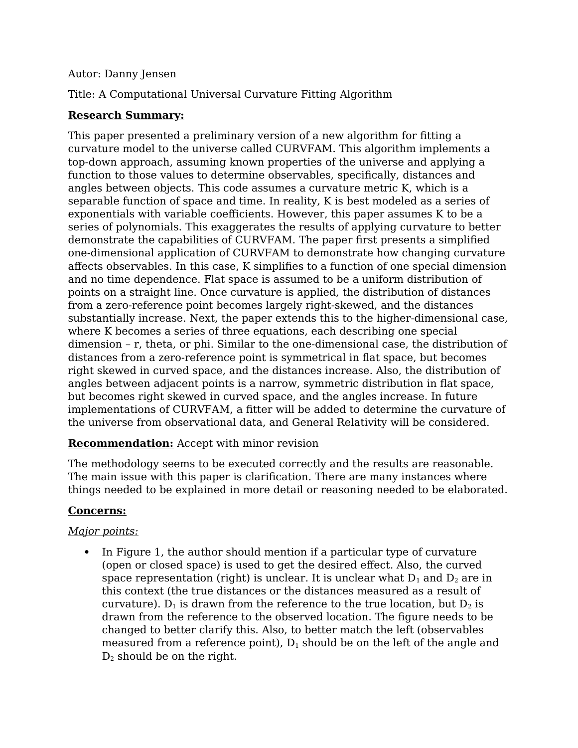### Autor: Danny Jensen

Title: A Computational Universal Curvature Fitting Algorithm

### **Research Summary:**

This paper presented a preliminary version of a new algorithm for fitting a curvature model to the universe called CURVFAM. This algorithm implements a top-down approach, assuming known properties of the universe and applying a function to those values to determine observables, specifically, distances and angles between objects. This code assumes a curvature metric K, which is a separable function of space and time. In reality, K is best modeled as a series of exponentials with variable coefficients. However, this paper assumes K to be a series of polynomials. This exaggerates the results of applying curvature to better demonstrate the capabilities of CURVFAM. The paper first presents a simplified one-dimensional application of CURVFAM to demonstrate how changing curvature affects observables. In this case, K simplifies to a function of one special dimension and no time dependence. Flat space is assumed to be a uniform distribution of points on a straight line. Once curvature is applied, the distribution of distances from a zero-reference point becomes largely right-skewed, and the distances substantially increase. Next, the paper extends this to the higher-dimensional case, where K becomes a series of three equations, each describing one special dimension – r, theta, or phi. Similar to the one-dimensional case, the distribution of distances from a zero-reference point is symmetrical in flat space, but becomes right skewed in curved space, and the distances increase. Also, the distribution of angles between adjacent points is a narrow, symmetric distribution in flat space, but becomes right skewed in curved space, and the angles increase. In future implementations of CURVFAM, a fitter will be added to determine the curvature of the universe from observational data, and General Relativity will be considered.

### **Recommendation:** Accept with minor revision

The methodology seems to be executed correctly and the results are reasonable. The main issue with this paper is clarification. There are many instances where things needed to be explained in more detail or reasoning needed to be elaborated.

### **Concerns:**

### *Major points:*

 In Figure 1, the author should mention if a particular type of curvature (open or closed space) is used to get the desired effect. Also, the curved space representation (right) is unclear. It is unclear what  $D_1$  and  $D_2$  are in this context (the true distances or the distances measured as a result of curvature). D<sub>1</sub> is drawn from the reference to the true location, but  $D_2$  is drawn from the reference to the observed location. The figure needs to be changed to better clarify this. Also, to better match the left (observables measured from a reference point),  $D_1$  should be on the left of the angle and  $D_2$  should be on the right.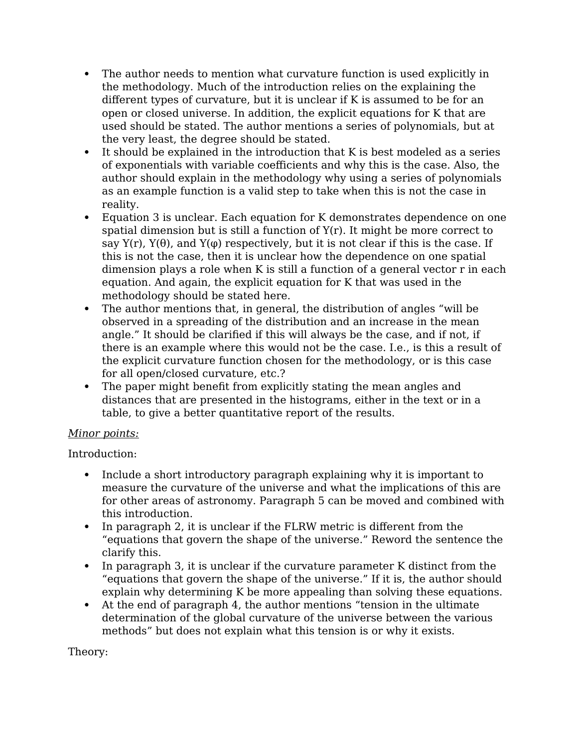- The author needs to mention what curvature function is used explicitly in the methodology. Much of the introduction relies on the explaining the different types of curvature, but it is unclear if K is assumed to be for an open or closed universe. In addition, the explicit equations for K that are used should be stated. The author mentions a series of polynomials, but at the very least, the degree should be stated.
- It should be explained in the introduction that K is best modeled as a series of exponentials with variable coefficients and why this is the case. Also, the author should explain in the methodology why using a series of polynomials as an example function is a valid step to take when this is not the case in reality.
- Equation 3 is unclear. Each equation for K demonstrates dependence on one spatial dimension but is still a function of  $Y(r)$ . It might be more correct to say  $Y(r)$ ,  $Y(\theta)$ , and  $Y(\varphi)$  respectively, but it is not clear if this is the case. If this is not the case, then it is unclear how the dependence on one spatial dimension plays a role when K is still a function of a general vector r in each equation. And again, the explicit equation for K that was used in the methodology should be stated here.
- The author mentions that, in general, the distribution of angles "will be observed in a spreading of the distribution and an increase in the mean angle." It should be clarified if this will always be the case, and if not, if there is an example where this would not be the case. I.e., is this a result of the explicit curvature function chosen for the methodology, or is this case for all open/closed curvature, etc.?
- The paper might benefit from explicitly stating the mean angles and distances that are presented in the histograms, either in the text or in a table, to give a better quantitative report of the results.

### *Minor points:*

Introduction:

- Include a short introductory paragraph explaining why it is important to measure the curvature of the universe and what the implications of this are for other areas of astronomy. Paragraph 5 can be moved and combined with this introduction.
- In paragraph 2, it is unclear if the FLRW metric is different from the "equations that govern the shape of the universe." Reword the sentence the clarify this.
- In paragraph 3, it is unclear if the curvature parameter K distinct from the "equations that govern the shape of the universe." If it is, the author should explain why determining K be more appealing than solving these equations.
- At the end of paragraph 4, the author mentions "tension in the ultimate determination of the global curvature of the universe between the various methods" but does not explain what this tension is or why it exists.

Theory: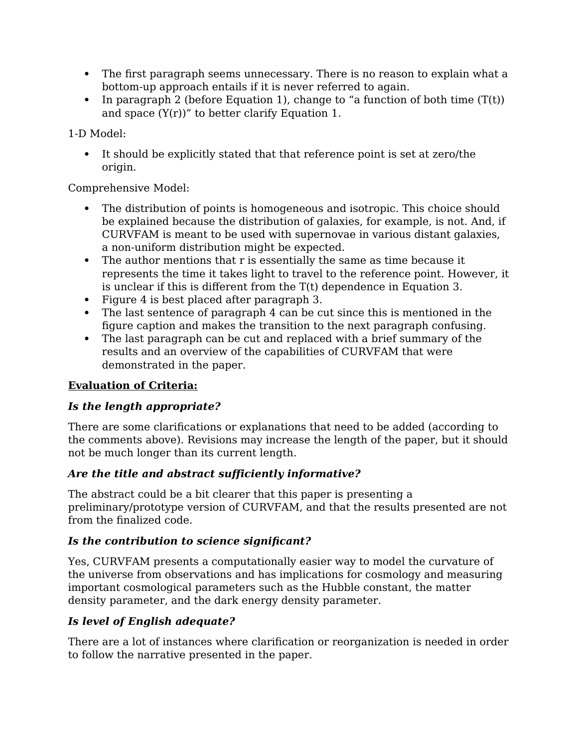- The first paragraph seems unnecessary. There is no reason to explain what a bottom-up approach entails if it is never referred to again.
- In paragraph 2 (before Equation 1), change to "a function of both time  $(T(t))$ and space  $(Y(r))''$  to better clarify Equation 1.

1-D Model:

 It should be explicitly stated that that reference point is set at zero/the origin.

Comprehensive Model:

- The distribution of points is homogeneous and isotropic. This choice should be explained because the distribution of galaxies, for example, is not. And, if CURVFAM is meant to be used with supernovae in various distant galaxies, a non-uniform distribution might be expected.
- The author mentions that r is essentially the same as time because it represents the time it takes light to travel to the reference point. However, it is unclear if this is different from the T(t) dependence in Equation 3.
- Figure 4 is best placed after paragraph 3.
- The last sentence of paragraph 4 can be cut since this is mentioned in the figure caption and makes the transition to the next paragraph confusing.
- The last paragraph can be cut and replaced with a brief summary of the results and an overview of the capabilities of CURVFAM that were demonstrated in the paper.

# **Evaluation of Criteria:**

# *Is the length appropriate?*

There are some clarifications or explanations that need to be added (according to the comments above). Revisions may increase the length of the paper, but it should not be much longer than its current length.

# *Are the title and abstract sufficiently informative?*

The abstract could be a bit clearer that this paper is presenting a preliminary/prototype version of CURVFAM, and that the results presented are not from the finalized code.

# *Is the contribution to science significant?*

Yes, CURVFAM presents a computationally easier way to model the curvature of the universe from observations and has implications for cosmology and measuring important cosmological parameters such as the Hubble constant, the matter density parameter, and the dark energy density parameter.

# *Is level of English adequate?*

There are a lot of instances where clarification or reorganization is needed in order to follow the narrative presented in the paper.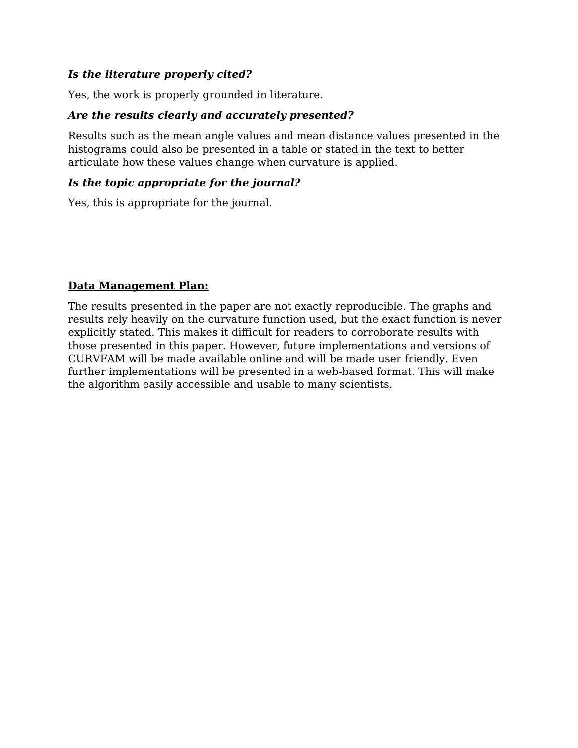### *Is the literature properly cited?*

Yes, the work is properly grounded in literature.

### *Are the results clearly and accurately presented?*

Results such as the mean angle values and mean distance values presented in the histograms could also be presented in a table or stated in the text to better articulate how these values change when curvature is applied.

### *Is the topic appropriate for the journal?*

Yes, this is appropriate for the journal.

### **Data Management Plan:**

The results presented in the paper are not exactly reproducible. The graphs and results rely heavily on the curvature function used, but the exact function is never explicitly stated. This makes it difficult for readers to corroborate results with those presented in this paper. However, future implementations and versions of CURVFAM will be made available online and will be made user friendly. Even further implementations will be presented in a web-based format. This will make the algorithm easily accessible and usable to many scientists.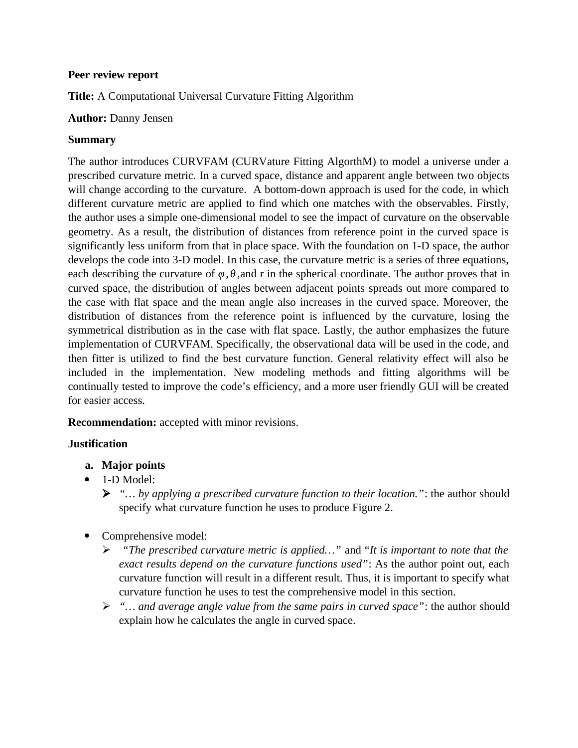### **Peer review report**

**Title:** A Computational Universal Curvature Fitting Algorithm

### **Author:** Danny Jensen

### **Summary**

The author introduces CURVFAM (CURVature Fitting AlgorthM) to model a universe under a prescribed curvature metric. In a curved space, distance and apparent angle between two objects will change according to the curvature. A bottom-down approach is used for the code, in which different curvature metric are applied to find which one matches with the observables. Firstly, the author uses a simple one-dimensional model to see the impact of curvature on the observable geometry. As a result, the distribution of distances from reference point in the curved space is significantly less uniform from that in place space. With the foundation on 1-D space, the author develops the code into 3-D model. In this case, the curvature metric is a series of three equations, each describing the curvature of  $\varphi$ ,  $\theta$ , and r in the spherical coordinate. The author proves that in curved space, the distribution of angles between adjacent points spreads out more compared to the case with flat space and the mean angle also increases in the curved space. Moreover, the distribution of distances from the reference point is influenced by the curvature, losing the symmetrical distribution as in the case with flat space. Lastly, the author emphasizes the future implementation of CURVFAM. Specifically, the observational data will be used in the code, and then fitter is utilized to find the best curvature function. General relativity effect will also be included in the implementation. New modeling methods and fitting algorithms will be continually tested to improve the code's efficiency, and a more user friendly GUI will be created for easier access.

**Recommendation:** accepted with minor revisions.

### **Justification**

- **a. Major points**
- $\bullet$  1-D Model:
	- *"… by applying a prescribed curvature function to their location."*: the author should specify what curvature function he uses to produce Figure 2.
- Comprehensive model:
	- *"The prescribed curvature metric is applied…"* and "*It is important to note that the exact results depend on the curvature functions used"*: As the author point out, each curvature function will result in a different result. Thus, it is important to specify what curvature function he uses to test the comprehensive model in this section.
	- *"… and average angle value from the same pairs in curved space"*: the author should explain how he calculates the angle in curved space.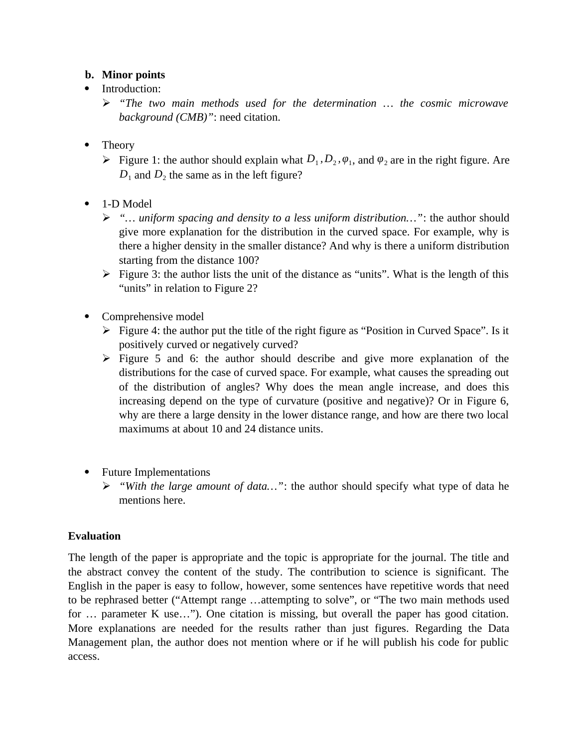### **b. Minor points**

- Introduction:
	- *"The two main methods used for the determination … the cosmic microwave background (CMB)"*: need citation.
- Theory
	- Figure 1: the author should explain what  $D_1$ ,  $D_2$ ,  $\varphi_1$ , and  $\varphi_2$  are in the right figure. Are  $D_1$  and  $D_2$  the same as in the left figure?
- 1-D Model
	- *"… uniform spacing and density to a less uniform distribution…"*: the author should give more explanation for the distribution in the curved space. For example, why is there a higher density in the smaller distance? And why is there a uniform distribution starting from the distance 100?
	- $\triangleright$  Figure 3: the author lists the unit of the distance as "units". What is the length of this "units" in relation to Figure 2?
- Comprehensive model
	- $\triangleright$  Figure 4: the author put the title of the right figure as "Position in Curved Space". Is it positively curved or negatively curved?
	- $\triangleright$  Figure 5 and 6: the author should describe and give more explanation of the distributions for the case of curved space. For example, what causes the spreading out of the distribution of angles? Why does the mean angle increase, and does this increasing depend on the type of curvature (positive and negative)? Or in Figure 6, why are there a large density in the lower distance range, and how are there two local maximums at about 10 and 24 distance units.
- Future Implementations
	- *"With the large amount of data…"*: the author should specify what type of data he mentions here.

### **Evaluation**

The length of the paper is appropriate and the topic is appropriate for the journal. The title and the abstract convey the content of the study. The contribution to science is significant. The English in the paper is easy to follow, however, some sentences have repetitive words that need to be rephrased better ("Attempt range …attempting to solve", or "The two main methods used for … parameter K use…"). One citation is missing, but overall the paper has good citation. More explanations are needed for the results rather than just figures. Regarding the Data Management plan, the author does not mention where or if he will publish his code for public access.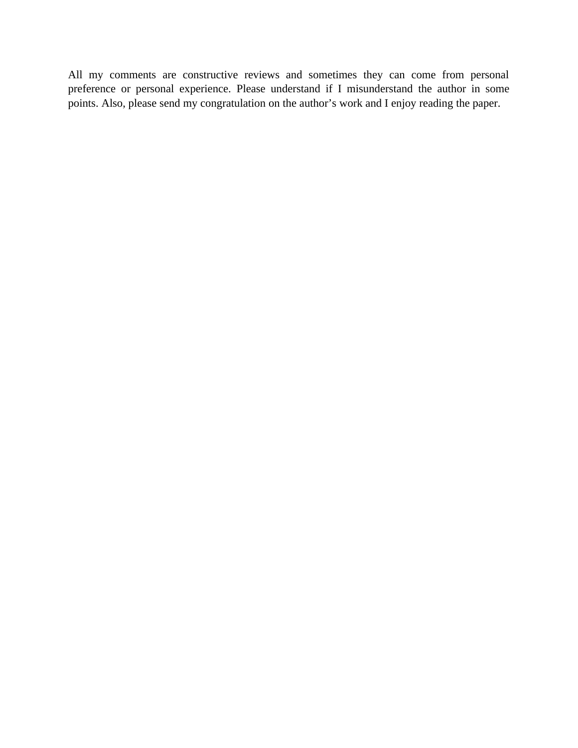All my comments are constructive reviews and sometimes they can come from personal preference or personal experience. Please understand if I misunderstand the author in some points. Also, please send my congratulation on the author's work and I enjoy reading the paper.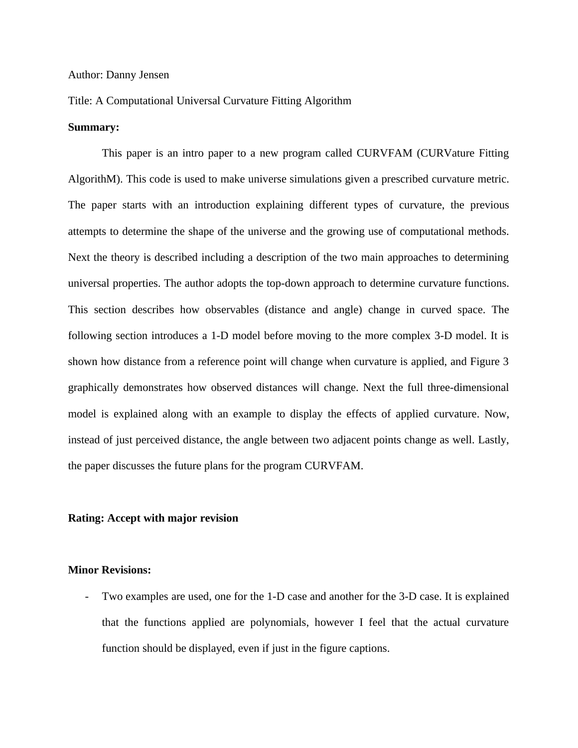#### Author: Danny Jensen

#### Title: A Computational Universal Curvature Fitting Algorithm

#### **Summary:**

This paper is an intro paper to a new program called CURVFAM (CURVature Fitting AlgorithM). This code is used to make universe simulations given a prescribed curvature metric. The paper starts with an introduction explaining different types of curvature, the previous attempts to determine the shape of the universe and the growing use of computational methods. Next the theory is described including a description of the two main approaches to determining universal properties. The author adopts the top-down approach to determine curvature functions. This section describes how observables (distance and angle) change in curved space. The following section introduces a 1-D model before moving to the more complex 3-D model. It is shown how distance from a reference point will change when curvature is applied, and Figure 3 graphically demonstrates how observed distances will change. Next the full three-dimensional model is explained along with an example to display the effects of applied curvature. Now, instead of just perceived distance, the angle between two adjacent points change as well. Lastly, the paper discusses the future plans for the program CURVFAM.

#### **Rating: Accept with major revision**

#### **Minor Revisions:**

Two examples are used, one for the 1-D case and another for the 3-D case. It is explained that the functions applied are polynomials, however I feel that the actual curvature function should be displayed, even if just in the figure captions.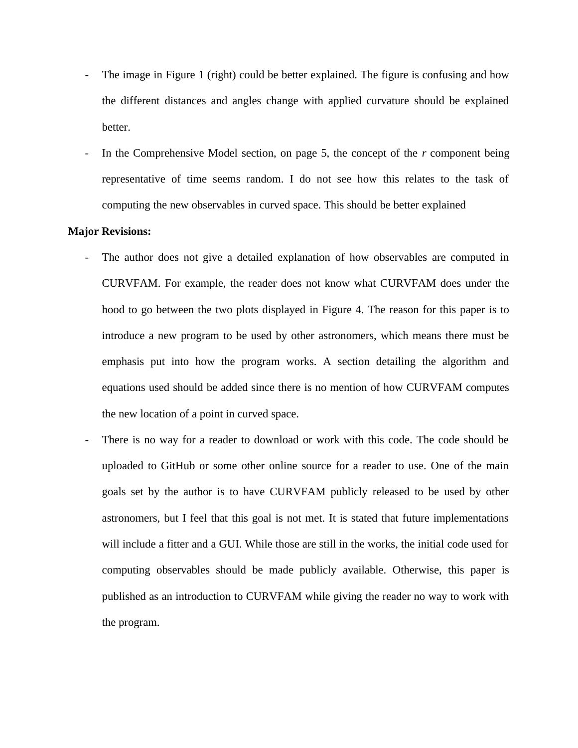- The image in Figure 1 (right) could be better explained. The figure is confusing and how the different distances and angles change with applied curvature should be explained better.
- In the Comprehensive Model section, on page 5, the concept of the  $r$  component being representative of time seems random. I do not see how this relates to the task of computing the new observables in curved space. This should be better explained

#### **Major Revisions:**

- The author does not give a detailed explanation of how observables are computed in CURVFAM. For example, the reader does not know what CURVFAM does under the hood to go between the two plots displayed in Figure 4. The reason for this paper is to introduce a new program to be used by other astronomers, which means there must be emphasis put into how the program works. A section detailing the algorithm and equations used should be added since there is no mention of how CURVFAM computes the new location of a point in curved space.
- There is no way for a reader to download or work with this code. The code should be uploaded to GitHub or some other online source for a reader to use. One of the main goals set by the author is to have CURVFAM publicly released to be used by other astronomers, but I feel that this goal is not met. It is stated that future implementations will include a fitter and a GUI. While those are still in the works, the initial code used for computing observables should be made publicly available. Otherwise, this paper is published as an introduction to CURVFAM while giving the reader no way to work with the program.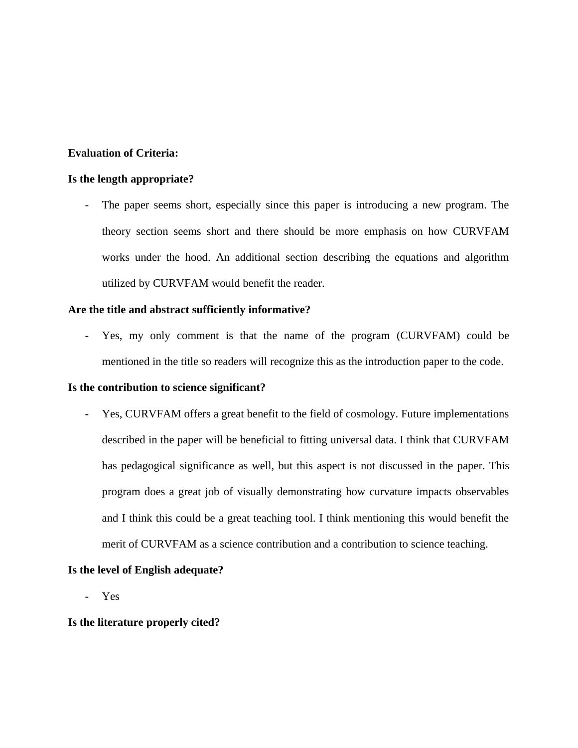#### **Evaluation of Criteria:**

#### **Is the length appropriate?**

- The paper seems short, especially since this paper is introducing a new program. The theory section seems short and there should be more emphasis on how CURVFAM works under the hood. An additional section describing the equations and algorithm utilized by CURVFAM would benefit the reader.

#### **Are the title and abstract sufficiently informative?**

- Yes, my only comment is that the name of the program (CURVFAM) could be mentioned in the title so readers will recognize this as the introduction paper to the code.

#### **Is the contribution to science significant?**

**-** Yes, CURVFAM offers a great benefit to the field of cosmology. Future implementations described in the paper will be beneficial to fitting universal data. I think that CURVFAM has pedagogical significance as well, but this aspect is not discussed in the paper. This program does a great job of visually demonstrating how curvature impacts observables and I think this could be a great teaching tool. I think mentioning this would benefit the merit of CURVFAM as a science contribution and a contribution to science teaching.

#### **Is the level of English adequate?**

**-** Yes

#### **Is the literature properly cited?**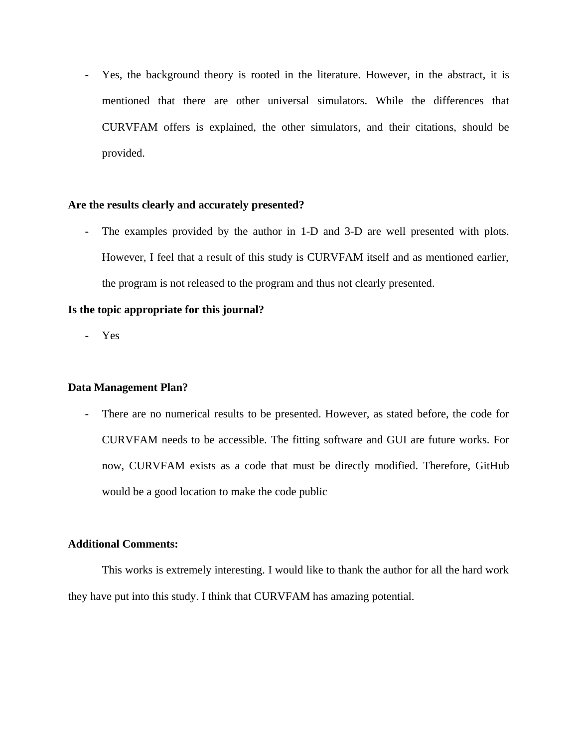**-** Yes, the background theory is rooted in the literature. However, in the abstract, it is mentioned that there are other universal simulators. While the differences that CURVFAM offers is explained, the other simulators, and their citations, should be provided.

#### **Are the results clearly and accurately presented?**

**-** The examples provided by the author in 1-D and 3-D are well presented with plots. However, I feel that a result of this study is CURVFAM itself and as mentioned earlier, the program is not released to the program and thus not clearly presented.

#### **Is the topic appropriate for this journal?**

- Yes

#### **Data Management Plan?**

- There are no numerical results to be presented. However, as stated before, the code for CURVFAM needs to be accessible. The fitting software and GUI are future works. For now, CURVFAM exists as a code that must be directly modified. Therefore, GitHub would be a good location to make the code public

### **Additional Comments:**

This works is extremely interesting. I would like to thank the author for all the hard work they have put into this study. I think that CURVFAM has amazing potential.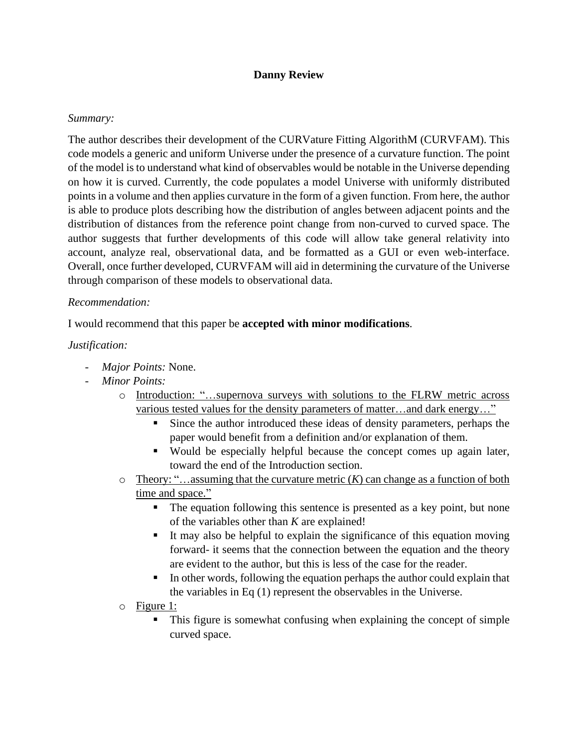### **Danny Review**

### *Summary:*

The author describes their development of the CURVature Fitting AlgorithM (CURVFAM). This code models a generic and uniform Universe under the presence of a curvature function. The point of the model is to understand what kind of observables would be notable in the Universe depending on how it is curved. Currently, the code populates a model Universe with uniformly distributed points in a volume and then applies curvature in the form of a given function. From here, the author is able to produce plots describing how the distribution of angles between adjacent points and the distribution of distances from the reference point change from non-curved to curved space. The author suggests that further developments of this code will allow take general relativity into account, analyze real, observational data, and be formatted as a GUI or even web-interface. Overall, once further developed, CURVFAM will aid in determining the curvature of the Universe through comparison of these models to observational data.

#### *Recommendation:*

I would recommend that this paper be **accepted with minor modifications**.

### *Justification:*

- *Major Points:* None.
- *Minor Points:*
	- o Introduction: "…supernova surveys with solutions to the FLRW metric across various tested values for the density parameters of matter...and dark energy..."
		- Since the author introduced these ideas of density parameters, perhaps the paper would benefit from a definition and/or explanation of them.
		- Would be especially helpful because the concept comes up again later, toward the end of the Introduction section.
	- $\circ$  Theory: "...assuming that the curvature metric  $(K)$  can change as a function of both time and space."
		- The equation following this sentence is presented as a key point, but none of the variables other than *K* are explained!
		- It may also be helpful to explain the significance of this equation moving forward- it seems that the connection between the equation and the theory are evident to the author, but this is less of the case for the reader.
		- In other words, following the equation perhaps the author could explain that the variables in Eq (1) represent the observables in the Universe.
	- o Figure 1:
		- This figure is somewhat confusing when explaining the concept of simple curved space.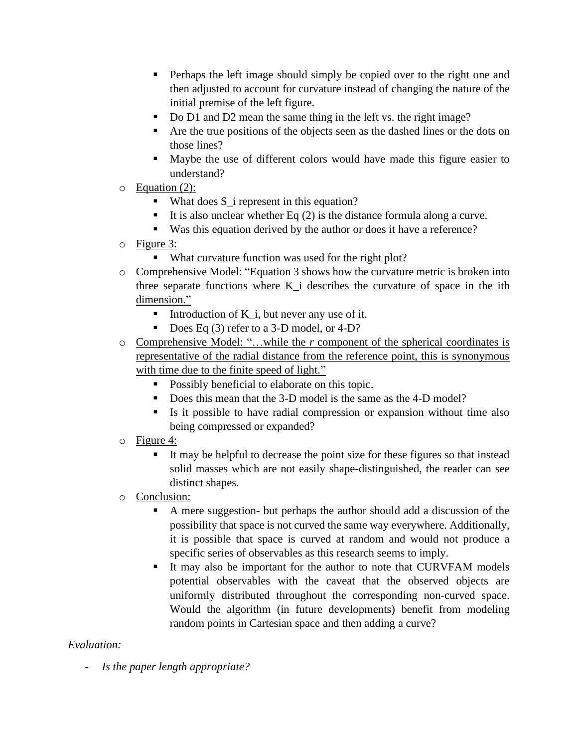- **•** Perhaps the left image should simply be copied over to the right one and then adjusted to account for curvature instead of changing the nature of the initial premise of the left figure.
- Do D1 and D2 mean the same thing in the left vs. the right image?
- Are the true positions of the objects seen as the dashed lines or the dots on those lines?
- Maybe the use of different colors would have made this figure easier to understand?
- o Equation (2):
	- What does S<sub></sub> i represent in this equation?
	- It is also unclear whether Eq  $(2)$  is the distance formula along a curve.
	- Was this equation derived by the author or does it have a reference?
- o Figure 3:
	- What curvature function was used for the right plot?
- o Comprehensive Model: "Equation 3 shows how the curvature metric is broken into three separate functions where K\_i describes the curvature of space in the ith dimension."
	- Introduction of  $K_i$ , but never any use of it.
	- Does Eq (3) refer to a 3-D model, or 4-D?
- o Comprehensive Model: "…while the *r* component of the spherical coordinates is representative of the radial distance from the reference point, this is synonymous with time due to the finite speed of light."
	- **•** Possibly beneficial to elaborate on this topic.
	- Does this mean that the 3-D model is the same as the 4-D model?
	- Is it possible to have radial compression or expansion without time also being compressed or expanded?
- o Figure 4:
	- It may be helpful to decrease the point size for these figures so that instead solid masses which are not easily shape-distinguished, the reader can see distinct shapes.
- o Conclusion:
	- A mere suggestion- but perhaps the author should add a discussion of the possibility that space is not curved the same way everywhere. Additionally, it is possible that space is curved at random and would not produce a specific series of observables as this research seems to imply.
	- It may also be important for the author to note that CURVFAM models potential observables with the caveat that the observed objects are uniformly distributed throughout the corresponding non-curved space. Would the algorithm (in future developments) benefit from modeling random points in Cartesian space and then adding a curve?

### *Evaluation:*

- *Is the paper length appropriate?*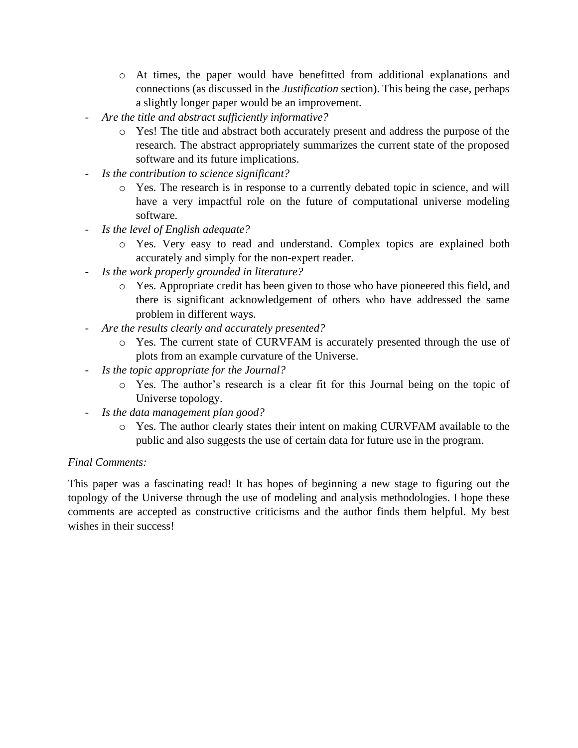- o At times, the paper would have benefitted from additional explanations and connections (as discussed in the *Justification* section). This being the case, perhaps a slightly longer paper would be an improvement.
- *Are the title and abstract sufficiently informative?*
	- o Yes! The title and abstract both accurately present and address the purpose of the research. The abstract appropriately summarizes the current state of the proposed software and its future implications.
- *Is the contribution to science significant?*
	- o Yes. The research is in response to a currently debated topic in science, and will have a very impactful role on the future of computational universe modeling software.
- *Is the level of English adequate?*
	- o Yes. Very easy to read and understand. Complex topics are explained both accurately and simply for the non-expert reader.
- *Is the work properly grounded in literature?*
	- o Yes. Appropriate credit has been given to those who have pioneered this field, and there is significant acknowledgement of others who have addressed the same problem in different ways.
- *Are the results clearly and accurately presented?*
	- o Yes. The current state of CURVFAM is accurately presented through the use of plots from an example curvature of the Universe.
- *Is the topic appropriate for the Journal?*
	- o Yes. The author's research is a clear fit for this Journal being on the topic of Universe topology.
- *Is the data management plan good?*
	- o Yes. The author clearly states their intent on making CURVFAM available to the public and also suggests the use of certain data for future use in the program.

### *Final Comments:*

This paper was a fascinating read! It has hopes of beginning a new stage to figuring out the topology of the Universe through the use of modeling and analysis methodologies. I hope these comments are accepted as constructive criticisms and the author finds them helpful. My best wishes in their success!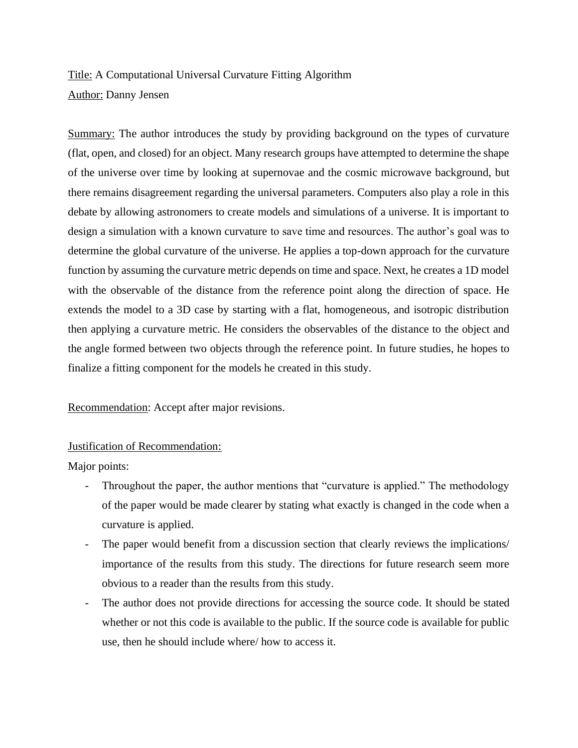# Title: A Computational Universal Curvature Fitting Algorithm Author: Danny Jensen

Summary: The author introduces the study by providing background on the types of curvature (flat, open, and closed) for an object. Many research groups have attempted to determine the shape of the universe over time by looking at supernovae and the cosmic microwave background, but there remains disagreement regarding the universal parameters. Computers also play a role in this debate by allowing astronomers to create models and simulations of a universe. It is important to design a simulation with a known curvature to save time and resources. The author's goal was to determine the global curvature of the universe. He applies a top-down approach for the curvature function by assuming the curvature metric depends on time and space. Next, he creates a 1D model with the observable of the distance from the reference point along the direction of space. He extends the model to a 3D case by starting with a flat, homogeneous, and isotropic distribution then applying a curvature metric. He considers the observables of the distance to the object and the angle formed between two objects through the reference point. In future studies, he hopes to finalize a fitting component for the models he created in this study.

Recommendation: Accept after major revisions.

### Justification of Recommendation:

Major points:

- Throughout the paper, the author mentions that "curvature is applied." The methodology of the paper would be made clearer by stating what exactly is changed in the code when a curvature is applied.
- The paper would benefit from a discussion section that clearly reviews the implications/ importance of the results from this study. The directions for future research seem more obvious to a reader than the results from this study.
- The author does not provide directions for accessing the source code. It should be stated whether or not this code is available to the public. If the source code is available for public use, then he should include where/ how to access it.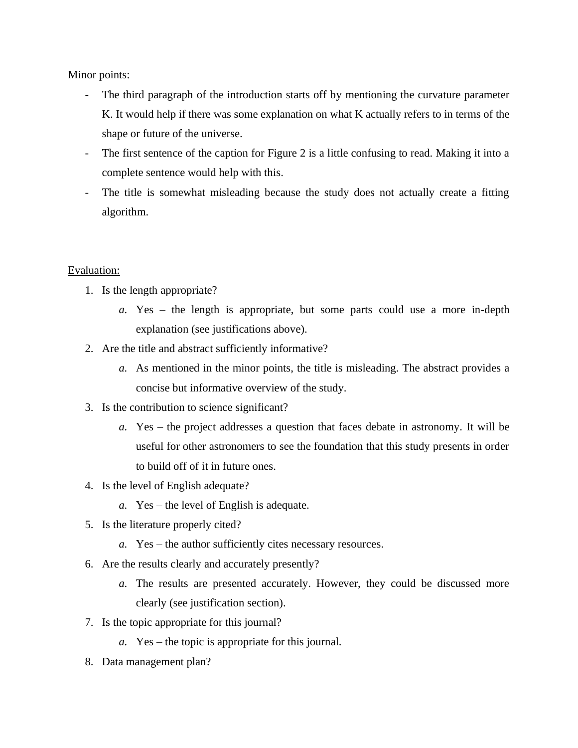Minor points:

- The third paragraph of the introduction starts off by mentioning the curvature parameter K. It would help if there was some explanation on what K actually refers to in terms of the shape or future of the universe.
- The first sentence of the caption for Figure 2 is a little confusing to read. Making it into a complete sentence would help with this.
- The title is somewhat misleading because the study does not actually create a fitting algorithm.

#### Evaluation:

- 1. Is the length appropriate?
	- *a.* Yes the length is appropriate, but some parts could use a more in-depth explanation (see justifications above).
- 2. Are the title and abstract sufficiently informative?
	- *a.* As mentioned in the minor points, the title is misleading. The abstract provides a concise but informative overview of the study.
- 3. Is the contribution to science significant?
	- *a.* Yes the project addresses a question that faces debate in astronomy. It will be useful for other astronomers to see the foundation that this study presents in order to build off of it in future ones.
- 4. Is the level of English adequate?
	- *a.* Yes the level of English is adequate.
- 5. Is the literature properly cited?
	- *a.* Yes the author sufficiently cites necessary resources.
- 6. Are the results clearly and accurately presently?
	- *a.* The results are presented accurately. However, they could be discussed more clearly (see justification section).
- 7. Is the topic appropriate for this journal?
	- *a.* Yes the topic is appropriate for this journal.
- 8. Data management plan?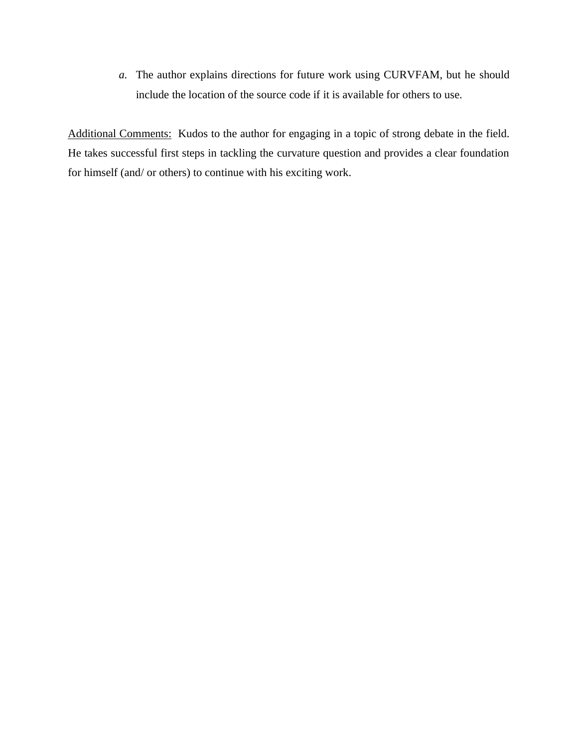*a.* The author explains directions for future work using CURVFAM, but he should include the location of the source code if it is available for others to use.

Additional Comments: Kudos to the author for engaging in a topic of strong debate in the field. He takes successful first steps in tackling the curvature question and provides a clear foundation for himself (and/ or others) to continue with his exciting work.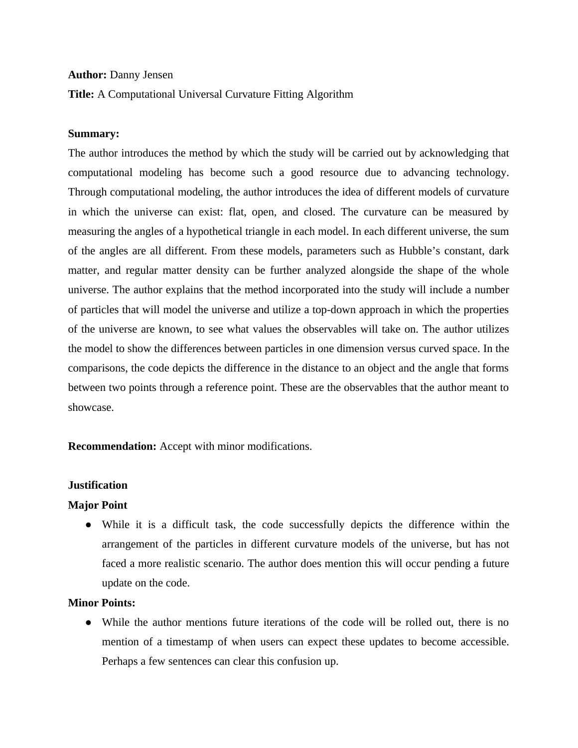#### **Author:** Danny Jensen

**Title:** A Computational Universal Curvature Fitting Algorithm

#### **Summary:**

The author introduces the method by which the study will be carried out by acknowledging that computational modeling has become such a good resource due to advancing technology. Through computational modeling, the author introduces the idea of different models of curvature in which the universe can exist: flat, open, and closed. The curvature can be measured by measuring the angles of a hypothetical triangle in each model. In each different universe, the sum of the angles are all different. From these models, parameters such as Hubble's constant, dark matter, and regular matter density can be further analyzed alongside the shape of the whole universe. The author explains that the method incorporated into the study will include a number of particles that will model the universe and utilize a top-down approach in which the properties of the universe are known, to see what values the observables will take on. The author utilizes the model to show the differences between particles in one dimension versus curved space. In the comparisons, the code depicts the difference in the distance to an object and the angle that forms between two points through a reference point. These are the observables that the author meant to showcase.

**Recommendation:** Accept with minor modifications.

#### **Justification**

#### **Major Point**

● While it is a difficult task, the code successfully depicts the difference within the arrangement of the particles in different curvature models of the universe, but has not faced a more realistic scenario. The author does mention this will occur pending a future update on the code.

### **Minor Points:**

● While the author mentions future iterations of the code will be rolled out, there is no mention of a timestamp of when users can expect these updates to become accessible. Perhaps a few sentences can clear this confusion up.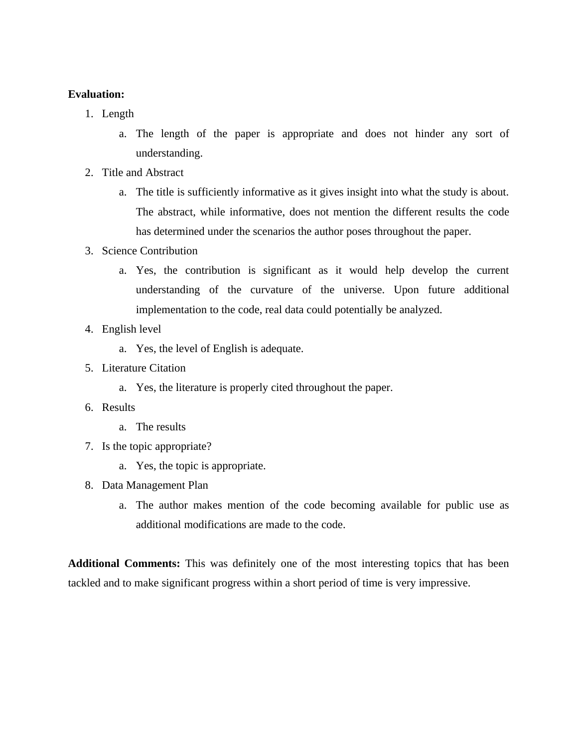### **Evaluation:**

- 1. Length
	- a. The length of the paper is appropriate and does not hinder any sort of understanding.
- 2. Title and Abstract
	- a. The title is sufficiently informative as it gives insight into what the study is about. The abstract, while informative, does not mention the different results the code has determined under the scenarios the author poses throughout the paper.
- 3. Science Contribution
	- a. Yes, the contribution is significant as it would help develop the current understanding of the curvature of the universe. Upon future additional implementation to the code, real data could potentially be analyzed.
- 4. English level
	- a. Yes, the level of English is adequate.
- 5. Literature Citation
	- a. Yes, the literature is properly cited throughout the paper.
- 6. Results
	- a. The results
- 7. Is the topic appropriate?
	- a. Yes, the topic is appropriate.
- 8. Data Management Plan
	- a. The author makes mention of the code becoming available for public use as additional modifications are made to the code.

**Additional Comments:** This was definitely one of the most interesting topics that has been tackled and to make significant progress within a short period of time is very impressive.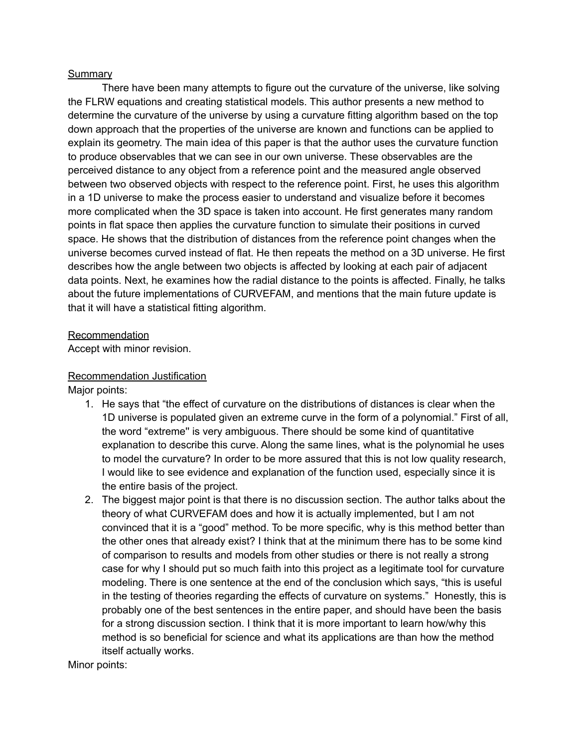#### **Summary**

There have been many attempts to figure out the curvature of the universe, like solving the FLRW equations and creating statistical models. This author presents a new method to determine the curvature of the universe by using a curvature fitting algorithm based on the top down approach that the properties of the universe are known and functions can be applied to explain its geometry. The main idea of this paper is that the author uses the curvature function to produce observables that we can see in our own universe. These observables are the perceived distance to any object from a reference point and the measured angle observed between two observed objects with respect to the reference point. First, he uses this algorithm in a 1D universe to make the process easier to understand and visualize before it becomes more complicated when the 3D space is taken into account. He first generates many random points in flat space then applies the curvature function to simulate their positions in curved space. He shows that the distribution of distances from the reference point changes when the universe becomes curved instead of flat. He then repeats the method on a 3D universe. He first describes how the angle between two objects is affected by looking at each pair of adjacent data points. Next, he examines how the radial distance to the points is affected. Finally, he talks about the future implementations of CURVEFAM, and mentions that the main future update is that it will have a statistical fitting algorithm.

#### Recommendation

Accept with minor revision.

#### Recommendation Justification

Major points:

- 1. He says that "the effect of curvature on the distributions of distances is clear when the 1D universe is populated given an extreme curve in the form of a polynomial." First of all, the word "extreme'' is very ambiguous. There should be some kind of quantitative explanation to describe this curve. Along the same lines, what is the polynomial he uses to model the curvature? In order to be more assured that this is not low quality research, I would like to see evidence and explanation of the function used, especially since it is the entire basis of the project.
- 2. The biggest major point is that there is no discussion section. The author talks about the theory of what CURVEFAM does and how it is actually implemented, but I am not convinced that it is a "good" method. To be more specific, why is this method better than the other ones that already exist? I think that at the minimum there has to be some kind of comparison to results and models from other studies or there is not really a strong case for why I should put so much faith into this project as a legitimate tool for curvature modeling. There is one sentence at the end of the conclusion which says, "this is useful in the testing of theories regarding the effects of curvature on systems." Honestly, this is probably one of the best sentences in the entire paper, and should have been the basis for a strong discussion section. I think that it is more important to learn how/why this method is so beneficial for science and what its applications are than how the method itself actually works.

Minor points: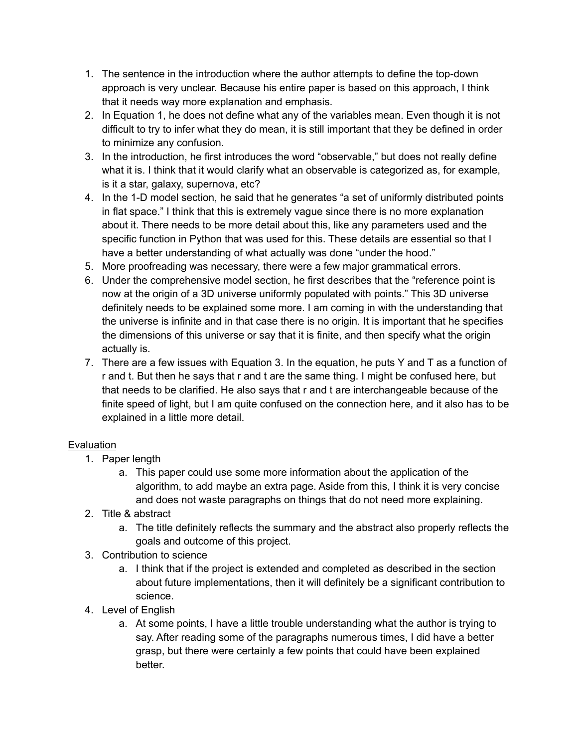- 1. The sentence in the introduction where the author attempts to define the top-down approach is very unclear. Because his entire paper is based on this approach, I think that it needs way more explanation and emphasis.
- 2. In Equation 1, he does not define what any of the variables mean. Even though it is not difficult to try to infer what they do mean, it is still important that they be defined in order to minimize any confusion.
- 3. In the introduction, he first introduces the word "observable," but does not really define what it is. I think that it would clarify what an observable is categorized as, for example, is it a star, galaxy, supernova, etc?
- 4. In the 1-D model section, he said that he generates "a set of uniformly distributed points in flat space." I think that this is extremely vague since there is no more explanation about it. There needs to be more detail about this, like any parameters used and the specific function in Python that was used for this. These details are essential so that I have a better understanding of what actually was done "under the hood."
- 5. More proofreading was necessary, there were a few major grammatical errors.
- 6. Under the comprehensive model section, he first describes that the "reference point is now at the origin of a 3D universe uniformly populated with points." This 3D universe definitely needs to be explained some more. I am coming in with the understanding that the universe is infinite and in that case there is no origin. It is important that he specifies the dimensions of this universe or say that it is finite, and then specify what the origin actually is.
- 7. There are a few issues with Equation 3. In the equation, he puts Y and T as a function of r and t. But then he says that r and t are the same thing. I might be confused here, but that needs to be clarified. He also says that r and t are interchangeable because of the finite speed of light, but I am quite confused on the connection here, and it also has to be explained in a little more detail.

### **Evaluation**

- 1. Paper length
	- a. This paper could use some more information about the application of the algorithm, to add maybe an extra page. Aside from this, I think it is very concise and does not waste paragraphs on things that do not need more explaining.
- 2. Title & abstract
	- a. The title definitely reflects the summary and the abstract also properly reflects the goals and outcome of this project.
- 3. Contribution to science
	- a. I think that if the project is extended and completed as described in the section about future implementations, then it will definitely be a significant contribution to science.
- 4. Level of English
	- a. At some points, I have a little trouble understanding what the author is trying to say. After reading some of the paragraphs numerous times, I did have a better grasp, but there were certainly a few points that could have been explained better.